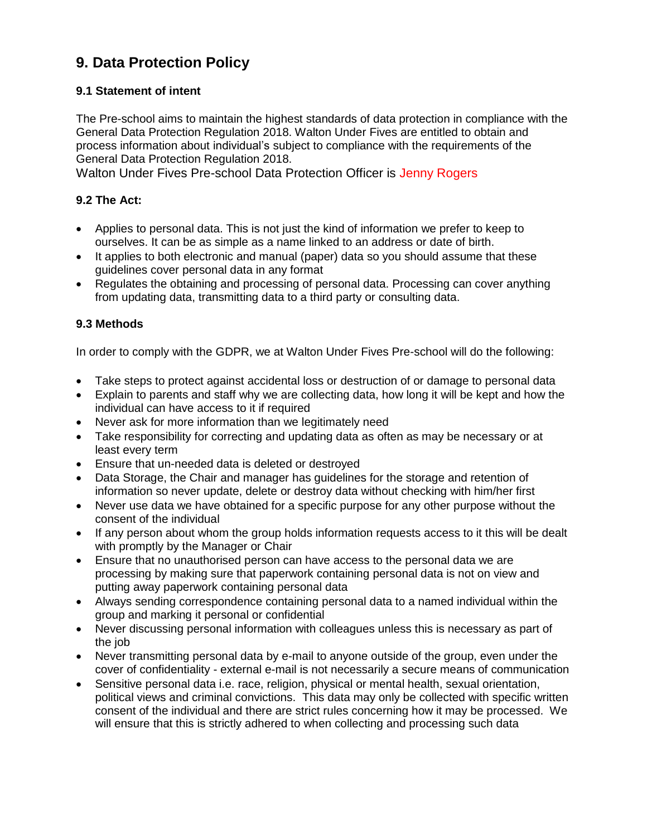# **9. Data Protection Policy**

### **9.1 Statement of intent**

The Pre-school aims to maintain the highest standards of data protection in compliance with the General Data Protection Regulation 2018. Walton Under Fives are entitled to obtain and process information about individual's subject to compliance with the requirements of the General Data Protection Regulation 2018.

Walton Under Fives Pre-school Data Protection Officer is Jenny Rogers

#### **9.2 The Act:**

- Applies to personal data. This is not just the kind of information we prefer to keep to ourselves. It can be as simple as a name linked to an address or date of birth.
- It applies to both electronic and manual (paper) data so you should assume that these guidelines cover personal data in any format
- Regulates the obtaining and processing of personal data. Processing can cover anything from updating data, transmitting data to a third party or consulting data.

#### **9.3 Methods**

In order to comply with the GDPR, we at Walton Under Fives Pre-school will do the following:

- Take steps to protect against accidental loss or destruction of or damage to personal data
- Explain to parents and staff why we are collecting data, how long it will be kept and how the individual can have access to it if required
- Never ask for more information than we legitimately need
- Take responsibility for correcting and updating data as often as may be necessary or at least every term
- Ensure that un-needed data is deleted or destroyed
- Data Storage, the Chair and manager has guidelines for the storage and retention of information so never update, delete or destroy data without checking with him/her first
- Never use data we have obtained for a specific purpose for any other purpose without the consent of the individual
- If any person about whom the group holds information requests access to it this will be dealt with promptly by the Manager or Chair
- Ensure that no unauthorised person can have access to the personal data we are processing by making sure that paperwork containing personal data is not on view and putting away paperwork containing personal data
- Always sending correspondence containing personal data to a named individual within the group and marking it personal or confidential
- Never discussing personal information with colleagues unless this is necessary as part of the job
- Never transmitting personal data by e-mail to anyone outside of the group, even under the cover of confidentiality - external e-mail is not necessarily a secure means of communication
- Sensitive personal data i.e. race, religion, physical or mental health, sexual orientation, political views and criminal convictions. This data may only be collected with specific written consent of the individual and there are strict rules concerning how it may be processed. We will ensure that this is strictly adhered to when collecting and processing such data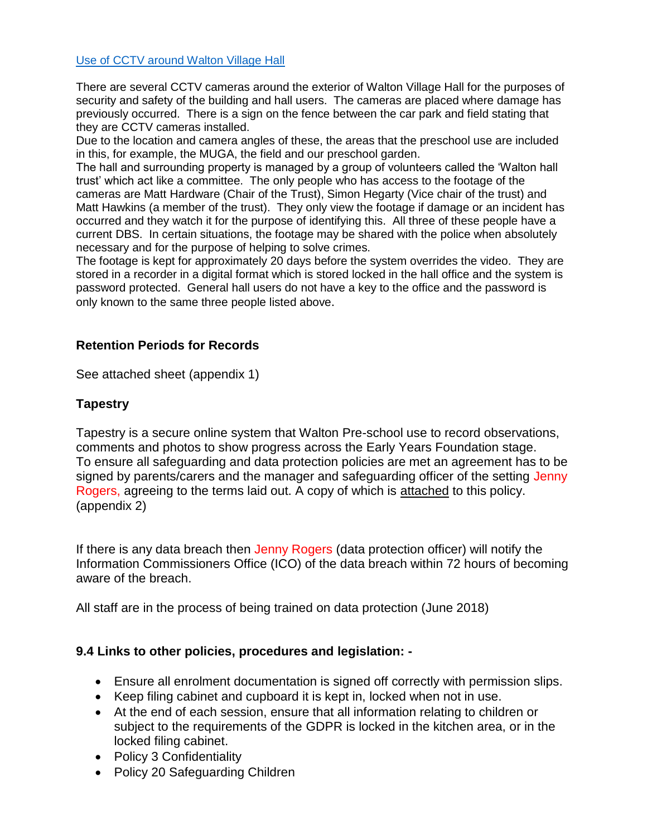#### Use of CCTV around Walton Village Hall

There are several CCTV cameras around the exterior of Walton Village Hall for the purposes of security and safety of the building and hall users. The cameras are placed where damage has previously occurred. There is a sign on the fence between the car park and field stating that they are CCTV cameras installed.

Due to the location and camera angles of these, the areas that the preschool use are included in this, for example, the MUGA, the field and our preschool garden.

The hall and surrounding property is managed by a group of volunteers called the 'Walton hall trust' which act like a committee. The only people who has access to the footage of the cameras are Matt Hardware (Chair of the Trust), Simon Hegarty (Vice chair of the trust) and Matt Hawkins (a member of the trust). They only view the footage if damage or an incident has occurred and they watch it for the purpose of identifying this. All three of these people have a current DBS. In certain situations, the footage may be shared with the police when absolutely necessary and for the purpose of helping to solve crimes.

The footage is kept for approximately 20 days before the system overrides the video. They are stored in a recorder in a digital format which is stored locked in the hall office and the system is password protected. General hall users do not have a key to the office and the password is only known to the same three people listed above.

### **Retention Periods for Records**

See attached sheet (appendix 1)

## **Tapestry**

Tapestry is a secure online system that Walton Pre-school use to record observations, comments and photos to show progress across the Early Years Foundation stage. To ensure all safeguarding and data protection policies are met an agreement has to be signed by parents/carers and the manager and safeguarding officer of the setting Jenny Rogers, agreeing to the terms laid out. A copy of which is attached to this policy. (appendix 2)

If there is any data breach then Jenny Rogers (data protection officer) will notify the Information Commissioners Office (ICO) of the data breach within 72 hours of becoming aware of the breach.

All staff are in the process of being trained on data protection (June 2018)

### **9.4 Links to other policies, procedures and legislation: -**

- Ensure all enrolment documentation is signed off correctly with permission slips.
- Keep filing cabinet and cupboard it is kept in, locked when not in use.
- At the end of each session, ensure that all information relating to children or subject to the requirements of the GDPR is locked in the kitchen area, or in the locked filing cabinet.
- Policy 3 Confidentiality
- Policy 20 Safeguarding Children